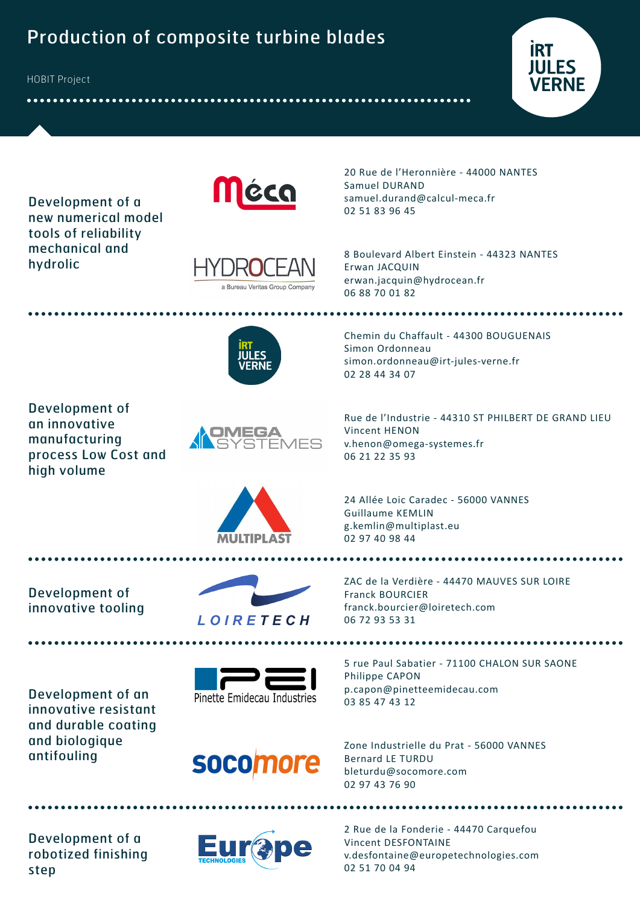# Production of composite turbine blades

HOBIT Project



Development of a new numerical model tools of reliability mechanical and hydrolic





20 Rue de l'Heronnière - 44000 NANTES Samuel DURAND samuel.durand@calcul-meca.fr 02 51 83 96 45

8 Boulevard Albert Einstein - 44323 NANTES Erwan JACQUIN erwan.jacquin@hydrocean.fr 06 88 70 01 82



Development of an innovative manufacturing process Low Cost and high volume



Chemin du Chaffault - 44300 BOUGUENAIS Simon Ordonneau simon.ordonneau@irt-jules-verne.fr 02 28 44 34 07

..........................

Rue de l'Industrie - 44310 ST PHILBERT DE GRAND LIEU Vincent HENON v.henon@omega-systemes.fr 06 21 22 35 93

24 Allée Loic Caradec - 56000 VANNES Guillaume KEMLIN g.kemlin@multiplast.eu 02 97 40 98 44

. . . . . . . . . . . . . . . .

Development of innovative tooling



**MUTIDI AST** 

ZAC de la Verdière - 44470 MAUVES SUR LOIRE Franck BOURCIER franck.bourcier@loiretech.com 06 72 93 53 31

Development of an innovative resistant and durable coating and biologique antifouling





5 rue Paul Sabatier - 71100 CHALON SUR SAONE Philippe CAPON p.capon@pinetteemidecau.com 03 85 47 43 12

**SOCOM** 

Zone Industrielle du Prat - 56000 VANNES Bernard LE TURDU bleturdu@socomore.com 02 97 43 76 90

Development of a robotized finishing step



2 Rue de la Fonderie - 44470 Carquefou Vincent DESFONTAINE v.desfontaine@europetechnologies.com 02 51 70 04 94